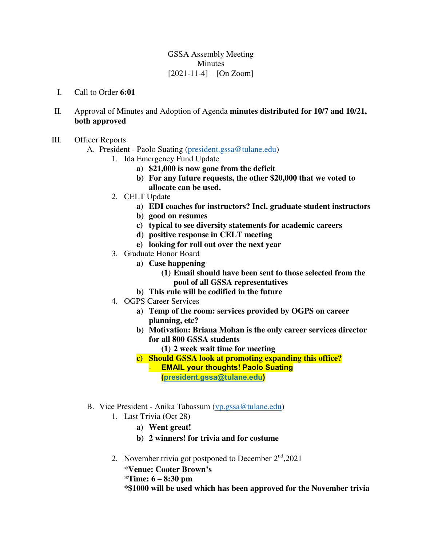## GSSA Assembly Meeting Minutes  $[2021-11-4] - [On Zoom]$

- I. Call to Order **6:01**
- II. Approval of Minutes and Adoption of Agenda **minutes distributed for 10/7 and 10/21, both approved**
- III. Officer Reports
	- A. President Paolo Suating [\(president.gssa@tulane.edu\)](mailto:president.gssa@tulane.edu)
		- 1. Ida Emergency Fund Update
			- **a) \$21,000 is now gone from the deficit**
			- **b) For any future requests, the other \$20,000 that we voted to allocate can be used.**
		- 2. CELT Update
			- **a) EDI coaches for instructors? Incl. graduate student instructors**
			- **b) good on resumes**
			- **c) typical to see diversity statements for academic careers**
			- **d) positive response in CELT meeting**
			- **e) looking for roll out over the next year**
		- 3. Graduate Honor Board
			- **a) Case happening** 
				- **(1) Email should have been sent to those selected from the pool of all GSSA representatives**
			- **b) This rule will be codified in the future**
		- 4. OGPS Career Services
			- **a) Temp of the room: services provided by OGPS on career planning, etc?**
			- **b) Motivation: Briana Mohan is the only career services director for all 800 GSSA students** 
				- **(1) 2 week wait time for meeting**
			- **c) Should GSSA look at promoting expanding this office?** 
				- **EMAIL your thoughts! Paolo Suating [\(president.gssa@tulane.edu\)](mailto:president.gssa@tulane.edu)**
	- B. Vice President Anika Tabassum [\(vp.gssa@tulane.edu\)](mailto:vp.gssa@tulane.edu)
		- 1. Last Trivia (Oct 28)
			- **a) Went great!**
			- **b) 2 winners! for trivia and for costume**
		- 2. November trivia got postponed to December  $2<sup>nd</sup>$ , 2021

\***Venue: Cooter Brown's** 

**\*Time: 6 – 8:30 pm** 

**\*\$1000 will be used which has been approved for the November trivia**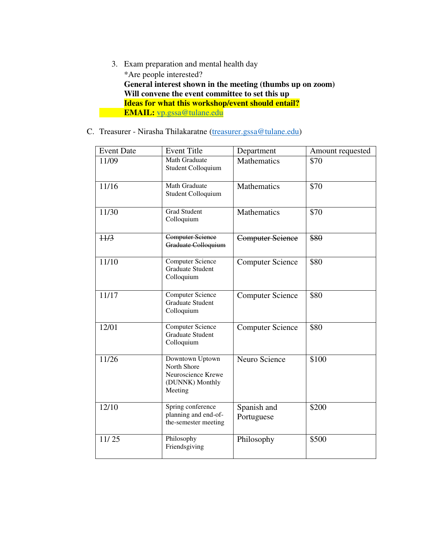- 3. Exam preparation and mental health day \*Are people interested? **General interest shown in the meeting (thumbs up on zoom) Will convene the event committee to set this up Ideas for what this workshop/event should entail? EMAIL: [vp.gssa@tulane.edu](mailto:vp.gssa@tulane.edu)**
- C. Treasurer Nirasha Thilakaratne [\(treasurer.gssa@tulane.edu\)](mailto:treasurer.gssa@tulane.edu)

| <b>Event Date</b> | <b>Event Title</b>                                                                 | Department                | Amount requested |  |  |
|-------------------|------------------------------------------------------------------------------------|---------------------------|------------------|--|--|
| 11/09             | Math Graduate<br>Student Colloquium                                                | Mathematics               | \$70             |  |  |
| 11/16             | <b>Math Graduate</b><br>Student Colloquium                                         | Mathematics               | \$70             |  |  |
| 11/30             | <b>Grad Student</b><br>Colloquium                                                  | Mathematics               | \$70             |  |  |
| 11/3              | <b>Computer Science</b><br>Graduate Colloquium                                     | <b>Computer Science</b>   | \$80             |  |  |
| 11/10             | <b>Computer Science</b><br><b>Graduate Student</b><br>Colloquium                   | <b>Computer Science</b>   | \$80             |  |  |
| 11/17             | <b>Computer Science</b><br><b>Graduate Student</b><br>Colloquium                   | <b>Computer Science</b>   | \$80             |  |  |
| 12/01             | <b>Computer Science</b><br><b>Graduate Student</b><br>Colloquium                   | <b>Computer Science</b>   | \$80             |  |  |
| 11/26             | Downtown Uptown<br>North Shore<br>Neuroscience Krewe<br>(DUNNK) Monthly<br>Meeting | Neuro Science             | \$100            |  |  |
| $\frac{12}{10}$   | Spring conference<br>planning and end-of-<br>the-semester meeting                  | Spanish and<br>Portuguese | \$200            |  |  |
| 11/25             | Philosophy<br>Friendsgiving                                                        | Philosophy                | \$500            |  |  |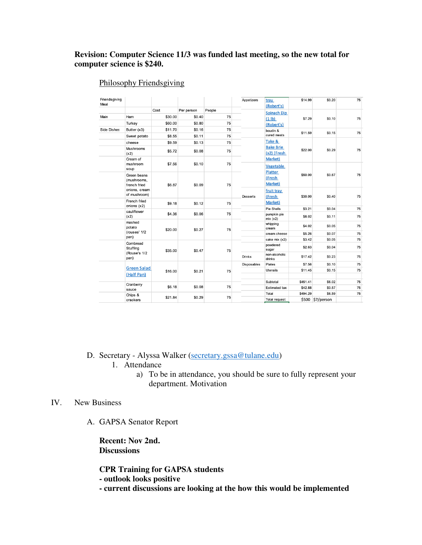## **Revision: Computer Science 11/3 was funded last meeting, so the new total for computer science is \$240.**

## Philosophy Friendsgiving

| Friendsgiving<br>Meal |                                                                                |         |                   |               | Appetizers                              | tray<br>(Robert's)                        | \$14.99  | \$0.20           | 75 |
|-----------------------|--------------------------------------------------------------------------------|---------|-------------------|---------------|-----------------------------------------|-------------------------------------------|----------|------------------|----|
|                       |                                                                                | Cost    | Per person        | People        |                                         | Spinach Dip                               |          |                  |    |
| Main                  | Ham                                                                            | \$30.00 | \$0.40            | 75            |                                         | (1 <sub>1</sub> b)<br>(Robert's)          | \$7.29   | \$0.10           | 75 |
|                       | Turkey                                                                         | \$60.00 | \$0.80            | 75            |                                         |                                           |          |                  |    |
| <b>Side Dishes</b>    | Butter (x3)                                                                    | \$11.70 | \$0.16            | 75            |                                         | boudin &                                  |          |                  |    |
|                       | Sweet potato                                                                   | \$8.55  | \$0.11            | 75            |                                         | cured meats                               | \$11.59  | \$0.15           | 75 |
|                       | cheese                                                                         | \$9.59  | \$0.13            | 75            |                                         | Take &<br><b>Bake Brie</b><br>(x2) (Fresh | \$22.00  | \$0.29           | 75 |
|                       | Mushrooms<br>(x2)                                                              | \$5.72  | \$0.08            | 75            |                                         |                                           |          |                  |    |
|                       | Cream of                                                                       |         |                   | 75            |                                         | Market)                                   |          |                  |    |
|                       | mushroom<br>soup                                                               | \$7.56  | \$0.10            |               |                                         | Vegetable                                 |          |                  |    |
|                       | Green beans<br>(mushrooms,<br>\$6.87<br>french fried                           | \$0.09  | 75                |               | Platter<br>\$50.00<br>(Fresh<br>Market) | \$0.67                                    | 75       |                  |    |
|                       | onions, cream<br>of mushroom)                                                  |         |                   |               | <b>Desserts</b>                         | fruit tray<br>(Fresh                      | \$30.00  | \$0.40           | 75 |
|                       | French fried<br>onions (x2)                                                    | \$9.18  | \$0.12            | 75            |                                         | Market)                                   |          |                  |    |
|                       | cauliflower                                                                    |         |                   |               |                                         | <b>Pie Shells</b>                         | \$3.21   | \$0.04           | 75 |
|                       | (x2)                                                                           | \$4.36  | \$0.06            | 75            |                                         | pumpkin pie<br>mix(x2)                    | \$8.02   | \$0.11           | 75 |
|                       | mashed<br>potato                                                               | \$20.00 | \$0.27            | 75            |                                         | whipping<br>cream                         | \$4.02   | \$0.05           | 75 |
|                       | (rouses' 1/2<br>pan)                                                           |         |                   |               |                                         | cream cheese                              | \$5.26   | \$0.07           | 75 |
|                       |                                                                                |         |                   |               |                                         | cake mix (x2)                             | \$3.42   | \$0.05           | 75 |
|                       | Cornbread<br>Stuffing<br>\$35.00<br>(Rouse's 1/2<br>pan)<br><b>Green Salad</b> |         | \$0.47            | 75            |                                         | powdered<br>sugar                         | \$2.63   | \$0.04           | 75 |
|                       |                                                                                |         |                   | <b>Drinks</b> | non-alcoholic<br>drinks                 | \$17.42                                   | \$0.23   | 75               |    |
|                       |                                                                                | \$16.00 |                   |               | <b>Disposables</b>                      | <b>Plates</b>                             | \$7.56   | \$0.10           | 75 |
|                       |                                                                                |         | \$0.21            | 75            |                                         | <b>Utensils</b>                           | \$11.45  | \$0.15           | 75 |
|                       | (Half Pan)                                                                     |         |                   |               |                                         |                                           |          |                  |    |
|                       | Cranberry<br>\$6.18<br>sauce                                                   |         |                   |               | Subtotal                                | \$451.41                                  | \$6.02   | 75               |    |
|                       |                                                                                |         | \$0.08            | 75            |                                         | <b>Estimated tax</b>                      | \$42.88  | \$0.57           | 75 |
|                       | Chips &<br>crackers                                                            |         | \$21.84<br>\$0.29 | 75            |                                         | Total                                     | \$494.29 | \$6.59           | 75 |
|                       |                                                                                |         |                   |               |                                         | <b>Total request</b>                      |          | \$500 \$7/person |    |

D. Secretary - Alyssa Walker [\(secretary.gssa@tulane.edu\)](mailto:secretary.gssa@tulane.edu)

- 1. Attendance
	- a) To be in attendance, you should be sure to fully represent your department. Motivation

## IV. New Business

A. GAPSA Senator Report

**Recent: Nov 2nd. Discussions** 

**CPR Training for GAPSA students** 

**- outlook looks positive** 

**- current discussions are looking at the how this would be implemented**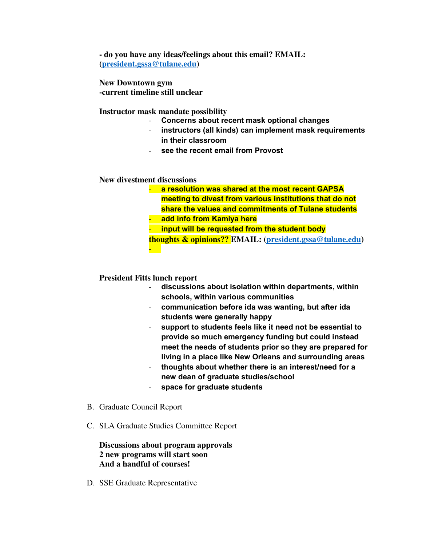**- do you have any ideas/feelings about this email? EMAIL: [\(president.gssa@tulane.edu\)](mailto:president.gssa@tulane.edu)** 

**New Downtown gym -current timeline still unclear** 

**Instructor mask mandate possibility** 

- **Concerns about recent mask optional changes**
- instructors (all kinds) can implement mask requirements **in their classroom**
- **see the recent email from Provost**

**New divestment discussions** 

- **a resolution was shared at the most recent GAPSA meeting to divest from various institutions that do not share the values and commitments of Tulane students**
- **add info from Kamiya here**
- **input will be requested from the student body**

**thoughts & opinions?? EMAIL: [\(president.gssa@tulane.edu\)](mailto:president.gssa@tulane.edu)** 

**President Fitts lunch report** 

-

- **discussions about isolation within departments, within schools, within various communities**
- **communication before ida was wanting, but after ida students were generally happy**
- **support to students feels like it need not be essential to provide so much emergency funding but could instead meet the needs of students prior so they are prepared for living in a place like New Orleans and surrounding areas**
- **thoughts about whether there is an interest/need for a new dean of graduate studies/school**
- **space for graduate students**
- B. Graduate Council Report
- C. SLA Graduate Studies Committee Report

**Discussions about program approvals 2 new programs will start soon And a handful of courses!** 

D. SSE Graduate Representative